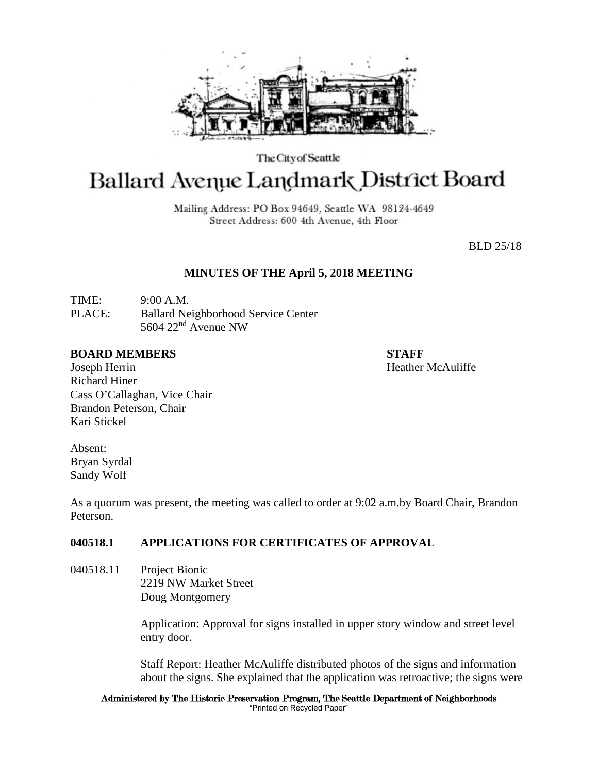

The City of Seattle

# **Ballard Avenue Landmark District Board**

Mailing Address: PO Box 94649, Seattle WA 98124-4649 Street Address: 600 4th Avenue, 4th Floor

BLD 25/18

#### **MINUTES OF THE April 5, 2018 MEETING**

TIME: 9:00 A.M. PLACE: Ballard Neighborhood Service Center 5604 22nd Avenue NW

#### **BOARD MEMBERS STAFF**

Joseph Herrin Heather McAuliffe Richard Hiner Cass O'Callaghan, Vice Chair Brandon Peterson, Chair Kari Stickel

Absent: Bryan Syrdal Sandy Wolf

As a quorum was present, the meeting was called to order at 9:02 a.m.by Board Chair, Brandon Peterson.

## **040518.1 APPLICATIONS FOR CERTIFICATES OF APPROVAL**

040518.11 Project Bionic 2219 NW Market Street Doug Montgomery

> Application: Approval for signs installed in upper story window and street level entry door.

Staff Report: Heather McAuliffe distributed photos of the signs and information about the signs. She explained that the application was retroactive; the signs were

Administered by The Historic Preservation Program, The Seattle Department of Neighborhoods "Printed on Recycled Paper"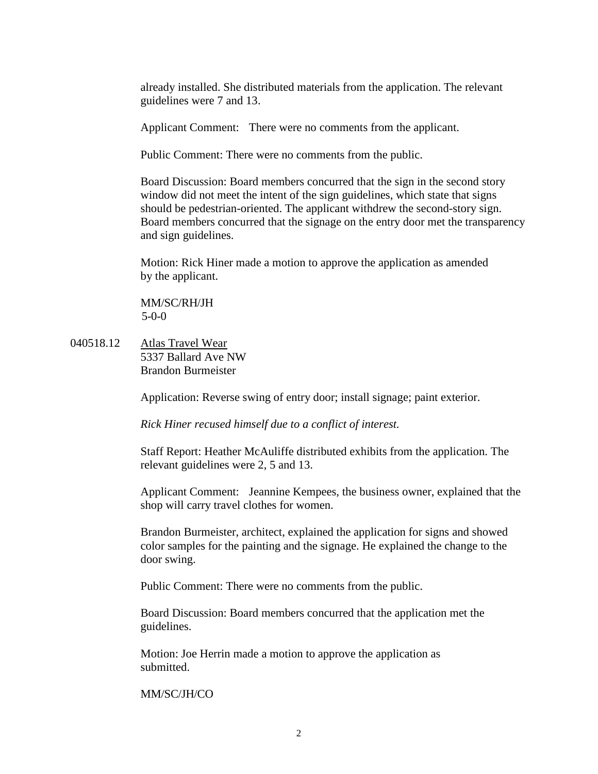already installed. She distributed materials from the application. The relevant guidelines were 7 and 13.

Applicant Comment: There were no comments from the applicant.

Public Comment: There were no comments from the public.

Board Discussion: Board members concurred that the sign in the second story window did not meet the intent of the sign guidelines, which state that signs should be pedestrian-oriented. The applicant withdrew the second-story sign. Board members concurred that the signage on the entry door met the transparency and sign guidelines.

Motion: Rick Hiner made a motion to approve the application as amended by the applicant.

MM/SC/RH/JH 5-0-0

040518.12 Atlas Travel Wear 5337 Ballard Ave NW Brandon Burmeister

Application: Reverse swing of entry door; install signage; paint exterior.

*Rick Hiner recused himself due to a conflict of interest.*

Staff Report: Heather McAuliffe distributed exhibits from the application. The relevant guidelines were 2, 5 and 13.

Applicant Comment: Jeannine Kempees, the business owner, explained that the shop will carry travel clothes for women.

Brandon Burmeister, architect, explained the application for signs and showed color samples for the painting and the signage. He explained the change to the door swing.

Public Comment: There were no comments from the public.

Board Discussion: Board members concurred that the application met the guidelines.

Motion: Joe Herrin made a motion to approve the application as submitted.

MM/SC/JH/CO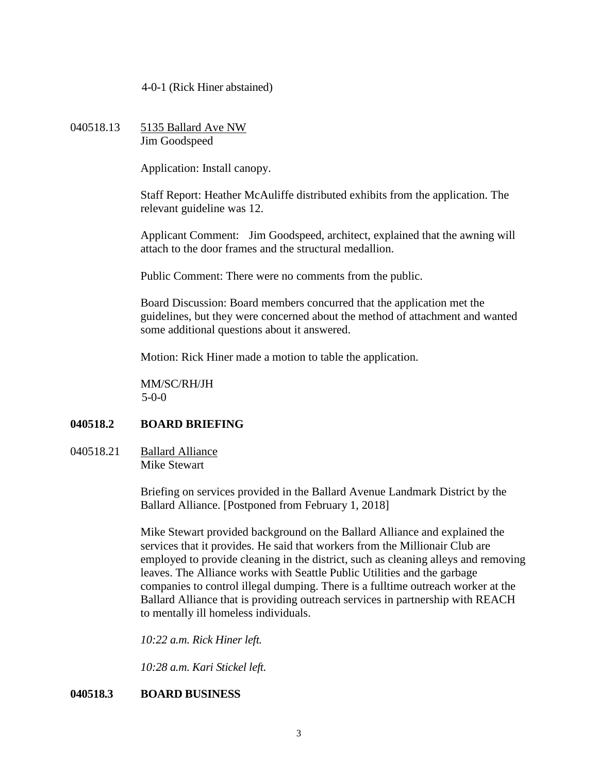4-0-1 (Rick Hiner abstained)

040518.13 5135 Ballard Ave NW Jim Goodspeed

Application: Install canopy.

Staff Report: Heather McAuliffe distributed exhibits from the application. The relevant guideline was 12.

Applicant Comment: Jim Goodspeed, architect, explained that the awning will attach to the door frames and the structural medallion.

Public Comment: There were no comments from the public.

Board Discussion: Board members concurred that the application met the guidelines, but they were concerned about the method of attachment and wanted some additional questions about it answered.

Motion: Rick Hiner made a motion to table the application.

MM/SC/RH/JH 5-0-0

### **040518.2 BOARD BRIEFING**

040518.21 Ballard Alliance Mike Stewart

> Briefing on services provided in the Ballard Avenue Landmark District by the Ballard Alliance. [Postponed from February 1, 2018]

Mike Stewart provided background on the Ballard Alliance and explained the services that it provides. He said that workers from the Millionair Club are employed to provide cleaning in the district, such as cleaning alleys and removing leaves. The Alliance works with Seattle Public Utilities and the garbage companies to control illegal dumping. There is a fulltime outreach worker at the Ballard Alliance that is providing outreach services in partnership with REACH to mentally ill homeless individuals.

*10:22 a.m. Rick Hiner left.*

*10:28 a.m. Kari Stickel left.*

### **040518.3 BOARD BUSINESS**